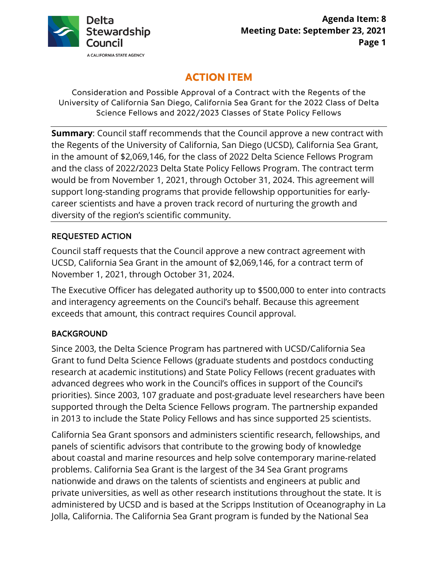

# **ACTION ITEM**

Consideration and Possible Approval of a Contract with the Regents of the University of California San Diego, California Sea Grant for the 2022 Class of Delta Science Fellows and 2022/2023 Classes of State Policy Fellows

**Summary**: Council staff recommends that the Council approve a new contract with the Regents of the University of California, San Diego (UCSD), California Sea Grant, in the amount of \$2,069,146, for the class of 2022 Delta Science Fellows Program and the class of 2022/2023 Delta State Policy Fellows Program. The contract term would be from November 1, 2021, through October 31, 2024. This agreement will support long-standing programs that provide fellowship opportunities for earlycareer scientists and have a proven track record of nurturing the growth and diversity of the region's scientific community.

## REQUESTED ACTION

Council staff requests that the Council approve a new contract agreement with UCSD, California Sea Grant in the amount of \$2,069,146, for a contract term of November 1, 2021, through October 31, 2024.

The Executive Officer has delegated authority up to \$500,000 to enter into contracts and interagency agreements on the Council's behalf. Because this agreement exceeds that amount, this contract requires Council approval.

## BACKGROUND

Since 2003, the Delta Science Program has partnered with UCSD/California Sea Grant to fund Delta Science Fellows (graduate students and postdocs conducting research at academic institutions) and State Policy Fellows (recent graduates with advanced degrees who work in the Council's offices in support of the Council's priorities). Since 2003, 107 graduate and post-graduate level researchers have been supported through the Delta Science Fellows program. The partnership expanded in 2013 to include the State Policy Fellows and has since supported 25 scientists.

California Sea Grant sponsors and administers scientific research, fellowships, and panels of scientific advisors that contribute to the growing body of knowledge about coastal and marine resources and help solve contemporary marine-related problems. California Sea Grant is the largest of the 34 Sea Grant programs nationwide and draws on the talents of scientists and engineers at public and private universities, as well as other research institutions throughout the state. It is administered by UCSD and is based at the Scripps Institution of Oceanography in La Jolla, California. The California Sea Grant program is funded by the National Sea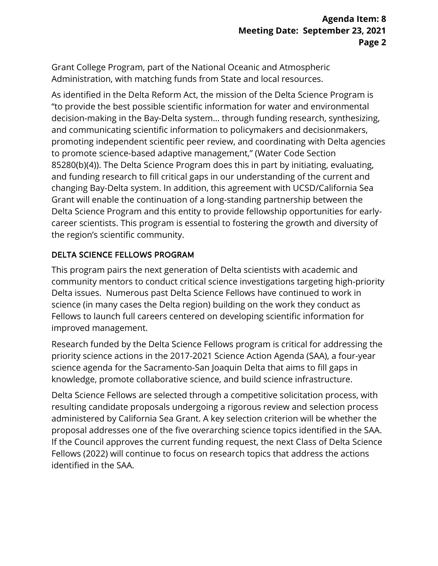Grant College Program, part of the National Oceanic and Atmospheric Administration, with matching funds from State and local resources.

As identified in the Delta Reform Act, the mission of the Delta Science Program is "to provide the best possible scientific information for water and environmental decision-making in the Bay-Delta system… through funding research, synthesizing, and communicating scientific information to policymakers and decisionmakers, promoting independent scientific peer review, and coordinating with Delta agencies to promote science-based adaptive management," (Water Code Section 85280(b)(4)). The Delta Science Program does this in part by initiating, evaluating, and funding research to fill critical gaps in our understanding of the current and changing Bay-Delta system. In addition, this agreement with UCSD/California Sea Grant will enable the continuation of a long-standing partnership between the Delta Science Program and this entity to provide fellowship opportunities for earlycareer scientists. This program is essential to fostering the growth and diversity of the region's scientific community.

#### DELTA SCIENCE FELLOWS PROGRAM

This program pairs the next generation of Delta scientists with academic and community mentors to conduct critical science investigations targeting high-priority Delta issues. Numerous past Delta Science Fellows have continued to work in science (in many cases the Delta region) building on the work they conduct as Fellows to launch full careers centered on developing scientific information for improved management.

Research funded by the Delta Science Fellows program is critical for addressing the priority science actions in the 2017-2021 Science Action Agenda (SAA), a four-year science agenda for the Sacramento-San Joaquin Delta that aims to fill gaps in knowledge, promote collaborative science, and build science infrastructure.

Delta Science Fellows are selected through a competitive solicitation process, with resulting candidate proposals undergoing a rigorous review and selection process administered by California Sea Grant. A key selection criterion will be whether the proposal addresses one of the five overarching science topics identified in the SAA. If the Council approves the current funding request, the next Class of Delta Science Fellows (2022) will continue to focus on research topics that address the actions identified in the SAA.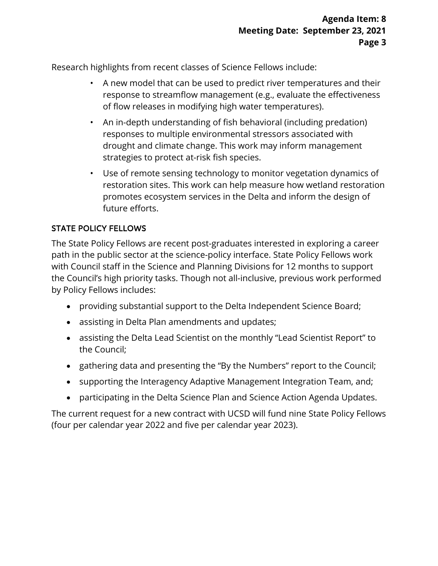Research highlights from recent classes of Science Fellows include:

- A new model that can be used to predict river temperatures and their response to streamflow management (e.g., evaluate the effectiveness of flow releases in modifying high water temperatures).
- An in-depth understanding of fish behavioral (including predation) responses to multiple environmental stressors associated with drought and climate change. This work may inform management strategies to protect at-risk fish species.
- Use of remote sensing technology to monitor vegetation dynamics of restoration sites. This work can help measure how wetland restoration promotes ecosystem services in the Delta and inform the design of future efforts.

## STATE POLICY FELLOWS

The State Policy Fellows are recent post-graduates interested in exploring a career path in the public sector at the science-policy interface. State Policy Fellows work with Council staff in the Science and Planning Divisions for 12 months to support the Council's high priority tasks. Though not all-inclusive, previous work performed by Policy Fellows includes:

- providing substantial support to the Delta Independent Science Board;
- assisting in Delta Plan amendments and updates;
- assisting the Delta Lead Scientist on the monthly "Lead Scientist Report" to the Council;
- gathering data and presenting the "By the Numbers" report to the Council;
- supporting the Interagency Adaptive Management Integration Team, and;
- participating in the Delta Science Plan and Science Action Agenda Updates.

The current request for a new contract with UCSD will fund nine State Policy Fellows (four per calendar year 2022 and five per calendar year 2023).